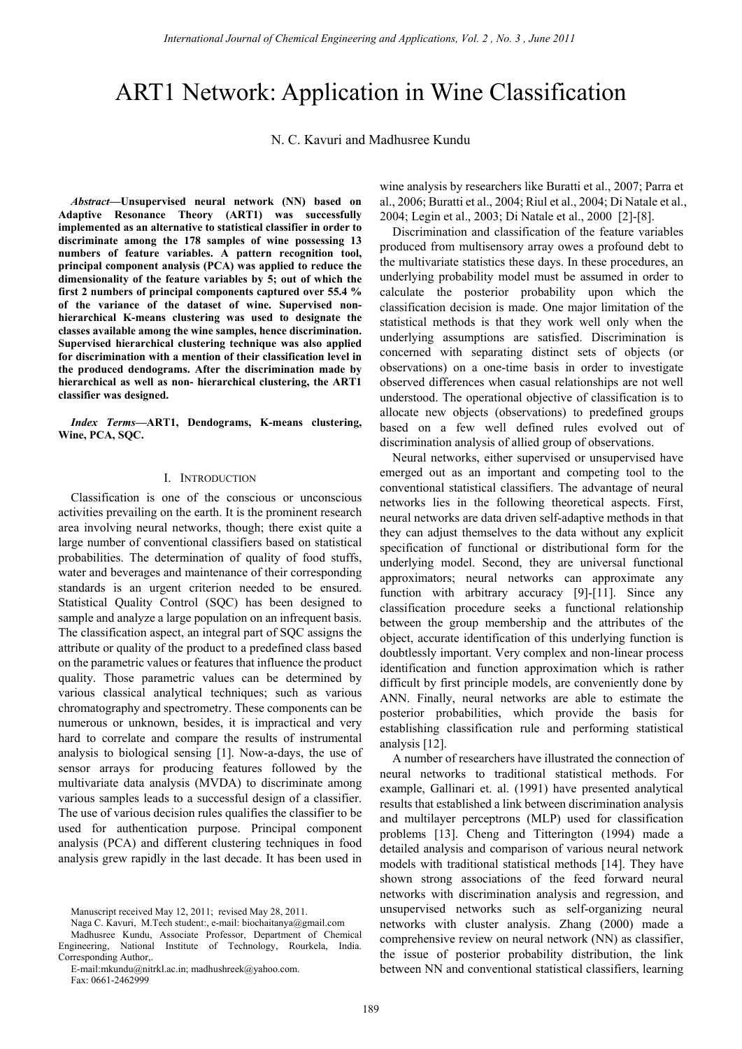# ART1 Network: Application in Wine Classification

N. C. Kavuri and Madhusree Kundu

*Abstract—***Unsupervised neural network (NN) based on Adaptive Resonance Theory (ART1) was successfully implemented as an alternative to statistical classifier in order to discriminate among the 178 samples of wine possessing 13 numbers of feature variables. A pattern recognition tool, principal component analysis (PCA) was applied to reduce the dimensionality of the feature variables by 5; out of which the first 2 numbers of principal components captured over 55.4 % of the variance of the dataset of wine. Supervised nonhierarchical K-means clustering was used to designate the classes available among the wine samples, hence discrimination. Supervised hierarchical clustering technique was also applied for discrimination with a mention of their classification level in the produced dendograms. After the discrimination made by hierarchical as well as non- hierarchical clustering, the ART1 classifier was designed.** 

*Index Terms—***ART1, Dendograms, K-means clustering, Wine, PCA, SQC.** 

#### I. INTRODUCTION

Classification is one of the conscious or unconscious activities prevailing on the earth. It is the prominent research area involving neural networks, though; there exist quite a large number of conventional classifiers based on statistical probabilities. The determination of quality of food stuffs, water and beverages and maintenance of their corresponding standards is an urgent criterion needed to be ensured. Statistical Quality Control (SQC) has been designed to sample and analyze a large population on an infrequent basis. The classification aspect, an integral part of SQC assigns the attribute or quality of the product to a predefined class based on the parametric values or features that influence the product quality. Those parametric values can be determined by various classical analytical techniques; such as various chromatography and spectrometry. These components can be numerous or unknown, besides, it is impractical and very hard to correlate and compare the results of instrumental analysis to biological sensing [1]. Now-a-days, the use of sensor arrays for producing features followed by the multivariate data analysis (MVDA) to discriminate among various samples leads to a successful design of a classifier. The use of various decision rules qualifies the classifier to be used for authentication purpose. Principal component analysis (PCA) and different clustering techniques in food analysis grew rapidly in the last decade. It has been used in

Naga C. Kavuri, M.Tech student:, e-mail: biochaitanya@gmail.com

wine analysis by researchers like Buratti et al., 2007; Parra et al., 2006; Buratti et al., 2004; Riul et al., 2004; Di Natale et al., 2004; Legin et al., 2003; Di Natale et al., 2000 [2]-[8].

Discrimination and classification of the feature variables produced from multisensory array owes a profound debt to the multivariate statistics these days. In these procedures, an underlying probability model must be assumed in order to calculate the posterior probability upon which the classification decision is made. One major limitation of the statistical methods is that they work well only when the underlying assumptions are satisfied. Discrimination is concerned with separating distinct sets of objects (or observations) on a one-time basis in order to investigate observed differences when casual relationships are not well understood. The operational objective of classification is to allocate new objects (observations) to predefined groups based on a few well defined rules evolved out of discrimination analysis of allied group of observations.

Neural networks, either supervised or unsupervised have emerged out as an important and competing tool to the conventional statistical classifiers. The advantage of neural networks lies in the following theoretical aspects. First, neural networks are data driven self-adaptive methods in that they can adjust themselves to the data without any explicit specification of functional or distributional form for the underlying model. Second, they are universal functional approximators; neural networks can approximate any function with arbitrary accuracy [9]-[11]. Since any classification procedure seeks a functional relationship between the group membership and the attributes of the object, accurate identification of this underlying function is doubtlessly important. Very complex and non-linear process identification and function approximation which is rather difficult by first principle models, are conveniently done by ANN. Finally, neural networks are able to estimate the posterior probabilities, which provide the basis for establishing classification rule and performing statistical analysis [12].

A number of researchers have illustrated the connection of neural networks to traditional statistical methods. For example, Gallinari et. al. (1991) have presented analytical results that established a link between discrimination analysis and multilayer perceptrons (MLP) used for classification problems [13]. Cheng and Titterington (1994) made a detailed analysis and comparison of various neural network models with traditional statistical methods [14]. They have shown strong associations of the feed forward neural networks with discrimination analysis and regression, and unsupervised networks such as self-organizing neural networks with cluster analysis. Zhang (2000) made a comprehensive review on neural network (NN) as classifier, the issue of posterior probability distribution, the link between NN and conventional statistical classifiers, learning

Manuscript received May 12, 2011; revised May 28, 2011.

Madhusree Kundu, Associate Professor, Department of Chemical Engineering, National Institute of Technology, Rourkela, India. Corresponding Author,.

E-mail:mkundu@nitrkl.ac.in; madhushreek@yahoo.com. Fax: 0661-2462999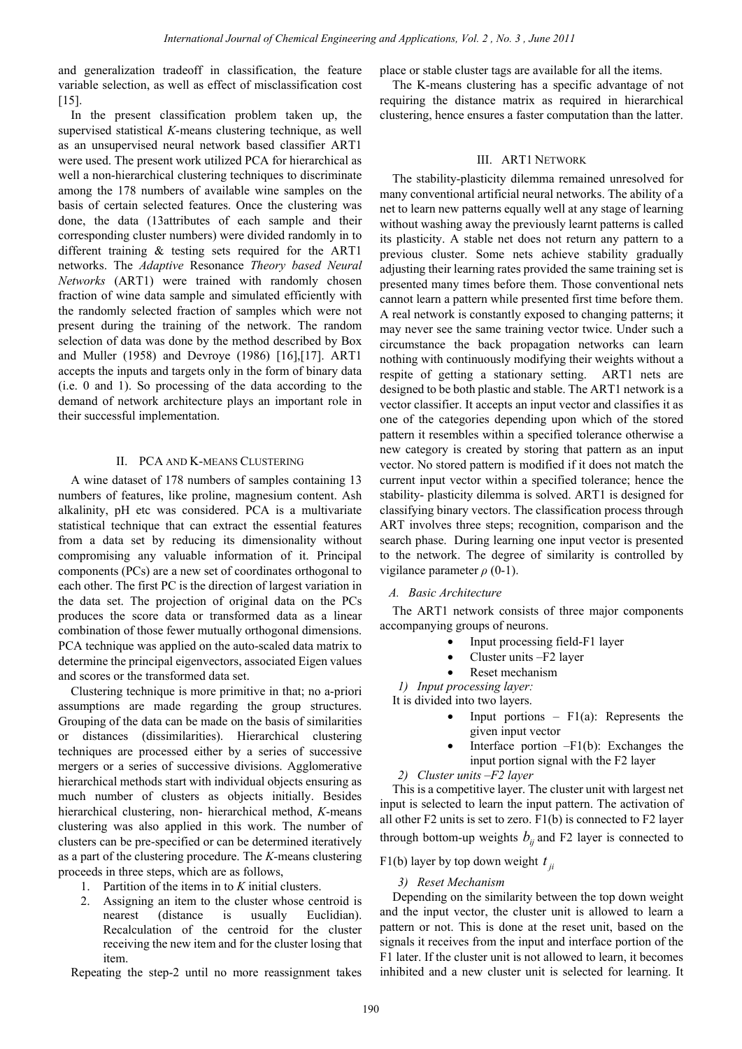and generalization tradeoff in classification, the feature variable selection, as well as effect of misclassification cost [15].

In the present classification problem taken up, the supervised statistical *K*-means clustering technique, as well as an unsupervised neural network based classifier ART1 were used. The present work utilized PCA for hierarchical as well a non-hierarchical clustering techniques to discriminate among the 178 numbers of available wine samples on the basis of certain selected features. Once the clustering was done, the data (13attributes of each sample and their corresponding cluster numbers) were divided randomly in to different training & testing sets required for the ART1 networks. The *Adaptive* Resonance *Theory based Neural Networks* (ART1) were trained with randomly chosen fraction of wine data sample and simulated efficiently with the randomly selected fraction of samples which were not present during the training of the network. The random selection of data was done by the method described by Box and Muller (1958) and Devroye (1986) [16],[17]. ART1 accepts the inputs and targets only in the form of binary data (i.e. 0 and 1). So processing of the data according to the demand of network architecture plays an important role in their successful implementation.

# II. PCA AND K-MEANS CLUSTERING

A wine dataset of 178 numbers of samples containing 13 numbers of features, like proline, magnesium content. Ash alkalinity, pH etc was considered. PCA is a multivariate statistical technique that can extract the essential features from a data set by reducing its dimensionality without compromising any valuable information of it. Principal components (PCs) are a new set of coordinates orthogonal to each other. The first PC is the direction of largest variation in the data set. The projection of original data on the PCs produces the score data or transformed data as a linear combination of those fewer mutually orthogonal dimensions. PCA technique was applied on the auto-scaled data matrix to determine the principal eigenvectors, associated Eigen values and scores or the transformed data set.

Clustering technique is more primitive in that; no a-priori assumptions are made regarding the group structures. Grouping of the data can be made on the basis of similarities or distances (dissimilarities). Hierarchical clustering techniques are processed either by a series of successive mergers or a series of successive divisions. Agglomerative hierarchical methods start with individual objects ensuring as much number of clusters as objects initially. Besides hierarchical clustering, non- hierarchical method, *K*-means clustering was also applied in this work. The number of clusters can be pre-specified or can be determined iteratively as a part of the clustering procedure. The *K*-means clustering proceeds in three steps, which are as follows,

- 1. Partition of the items in to *K* initial clusters.
- 2. Assigning an item to the cluster whose centroid is nearest (distance is usually Euclidian). Recalculation of the centroid for the cluster receiving the new item and for the cluster losing that item.

Repeating the step-2 until no more reassignment takes

place or stable cluster tags are available for all the items.

The K-means clustering has a specific advantage of not requiring the distance matrix as required in hierarchical clustering, hence ensures a faster computation than the latter.

## III. ART1 NETWORK

The stability-plasticity dilemma remained unresolved for many conventional artificial neural networks. The ability of a net to learn new patterns equally well at any stage of learning without washing away the previously learnt patterns is called its plasticity. A stable net does not return any pattern to a previous cluster. Some nets achieve stability gradually adjusting their learning rates provided the same training set is presented many times before them. Those conventional nets cannot learn a pattern while presented first time before them. A real network is constantly exposed to changing patterns; it may never see the same training vector twice. Under such a circumstance the back propagation networks can learn nothing with continuously modifying their weights without a respite of getting a stationary setting. ART1 nets are designed to be both plastic and stable. The ART1 network is a vector classifier. It accepts an input vector and classifies it as one of the categories depending upon which of the stored pattern it resembles within a specified tolerance otherwise a new category is created by storing that pattern as an input vector. No stored pattern is modified if it does not match the current input vector within a specified tolerance; hence the stability- plasticity dilemma is solved. ART1 is designed for classifying binary vectors. The classification process through ART involves three steps; recognition, comparison and the search phase. During learning one input vector is presented to the network. The degree of similarity is controlled by vigilance parameter *ρ* (0-1).

# *A. Basic Architecture*

The ART1 network consists of three major components accompanying groups of neurons.

- Input processing field-F1 layer
- Cluster units –F2 layer
- Reset mechanism

*1) Input processing layer:*

It is divided into two layers.

- Input portions  $F1(a)$ : Represents the given input vector
- Interface portion  $-F1(b)$ : Exchanges the input portion signal with the F2 layer

*2) Cluster units –F2 layer*

This is a competitive layer. The cluster unit with largest net input is selected to learn the input pattern. The activation of all other F2 units is set to zero. F1(b) is connected to F2 layer through bottom-up weights  $b_{ij}$  and F2 layer is connected to

# F1(b) layer by top down weight  $t_{ii}$

# *3) Reset Mechanism*

Depending on the similarity between the top down weight and the input vector, the cluster unit is allowed to learn a pattern or not. This is done at the reset unit, based on the signals it receives from the input and interface portion of the F1 later. If the cluster unit is not allowed to learn, it becomes inhibited and a new cluster unit is selected for learning. It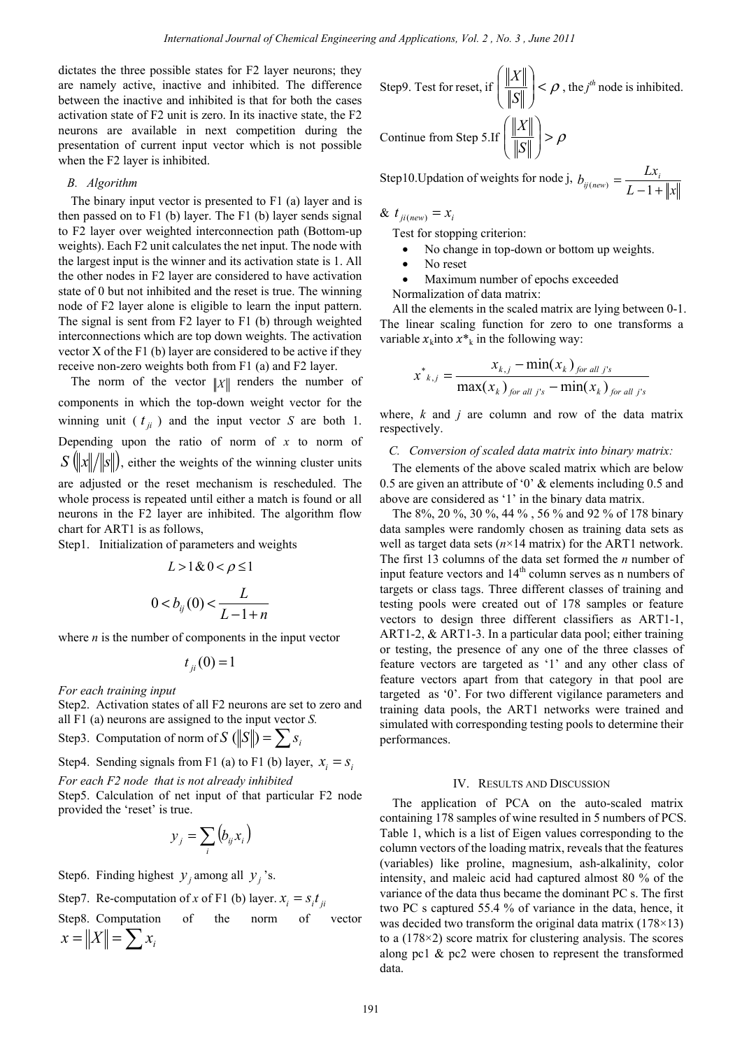dictates the three possible states for F2 layer neurons; they are namely active, inactive and inhibited. The difference between the inactive and inhibited is that for both the cases activation state of F2 unit is zero. In its inactive state, the F2 neurons are available in next competition during the presentation of current input vector which is not possible when the F2 layer is inhibited.

## *B. Algorithm*

The binary input vector is presented to F1 (a) layer and is then passed on to F1 (b) layer. The F1 (b) layer sends signal to F2 layer over weighted interconnection path (Bottom-up weights). Each F2 unit calculates the net input. The node with the largest input is the winner and its activation state is 1. All the other nodes in F2 layer are considered to have activation state of 0 but not inhibited and the reset is true. The winning node of F2 layer alone is eligible to learn the input pattern. The signal is sent from F2 layer to F1 (b) through weighted interconnections which are top down weights. The activation vector X of the F1 (b) layer are considered to be active if they receive non-zero weights both from F1 (a) and F2 layer.

The norm of the vector  $||x||$  renders the number of components in which the top-down weight vector for the winning unit ( $t_{ii}$ ) and the input vector *S* are both 1. Depending upon the ratio of norm of *x* to norm of  $S(\||x\|/\|s\|)$ , either the weights of the winning cluster units are adjusted or the reset mechanism is rescheduled. The whole process is repeated until either a match is found or all neurons in the F2 layer are inhibited. The algorithm flow chart for ART1 is as follows,

Step1. Initialization of parameters and weights

$$
L > 1 \& 0 < \rho \le 1
$$
  

$$
0 < b_{ij}(0) < \frac{L}{L - 1 + n}
$$

where  $n$  is the number of components in the input vector

 $t_{ii}(0)=1$ 

*For each training input* 

Step2. Activation states of all F2 neurons are set to zero and all F1 (a) neurons are assigned to the input vector *S.* 

Step3. Computation of norm of  $S$  ( $||S||$ ) =  $\sum s_i$ 

Step4. Sending signals from F1 (a) to F1 (b) layer,  $x_i = s_i$ 

*For each F2 node that is not already inhibited* 

Step5. Calculation of net input of that particular F2 node provided the 'reset' is true.

$$
y_j = \sum_i (b_{ij} x_i)
$$

Step6. Finding highest  $y_i$  among all  $y_i$ 's.

Step7. Re-computation of x of F1 (b) layer. 
$$
x_i = s_i t_{ji}
$$

Step8. Computation of the norm of vector 
$$
x = ||X|| = \sum x_i
$$

Step9. Test for reset, if 
$$
\left(\frac{\|X\|}{\|S\|}\right) < \rho
$$
, the  $j^{th}$  node is inhibited.  
Continue from Step 5. If  $\left(\frac{\|X\|}{\|S\|}\right) > \rho$ 

Step10.Updation of weights for node j,  $L-1+\|x$  $b_{ij(new)} = \frac{Lx_i}{L-1+1}$ 

& 
$$
t_{ji(new)} = x_i
$$

Test for stopping criterion:

- No change in top-down or bottom up weights.
- No reset
- Maximum number of epochs exceeded

Normalization of data matrix: All the elements in the scaled matrix are lying between 0-1. The linear scaling function for zero to one transforms a variable  $x_k$  into  $x^*$  in the following way:

$$
x^{*}_{k,j} = \frac{x_{k,j} - \min(x_k)_{\text{for all } j's}}{\max(x_k)_{\text{for all } j's} - \min(x_k)_{\text{for all } j's}}
$$

where, *k* and *j* are column and row of the data matrix respectively.

#### *C. Conversion of scaled data matrix into binary matrix:*

The elements of the above scaled matrix which are below 0.5 are given an attribute of '0' & elements including 0.5 and above are considered as '1' in the binary data matrix.

The 8%, 20 %, 30 %, 44 % , 56 % and 92 % of 178 binary data samples were randomly chosen as training data sets as well as target data sets  $(n \times 14 \text{ matrix})$  for the ART1 network. The first 13 columns of the data set formed the *n* number of input feature vectors and 14<sup>th</sup> column serves as n numbers of targets or class tags. Three different classes of training and testing pools were created out of 178 samples or feature vectors to design three different classifiers as ART1-1, ART1-2, & ART1-3. In a particular data pool; either training or testing, the presence of any one of the three classes of feature vectors are targeted as '1' and any other class of feature vectors apart from that category in that pool are targeted as '0'. For two different vigilance parameters and training data pools, the ART1 networks were trained and simulated with corresponding testing pools to determine their performances.

### IV. RESULTS AND DISCUSSION

The application of PCA on the auto-scaled matrix containing 178 samples of wine resulted in 5 numbers of PCS. Table 1, which is a list of Eigen values corresponding to the column vectors of the loading matrix, reveals that the features (variables) like proline, magnesium, ash-alkalinity, color intensity, and maleic acid had captured almost 80 % of the variance of the data thus became the dominant PC s. The first two PC s captured 55.4 % of variance in the data, hence, it was decided two transform the original data matrix  $(178\times13)$ to a (178×2) score matrix for clustering analysis. The scores along pc1 & pc2 were chosen to represent the transformed data.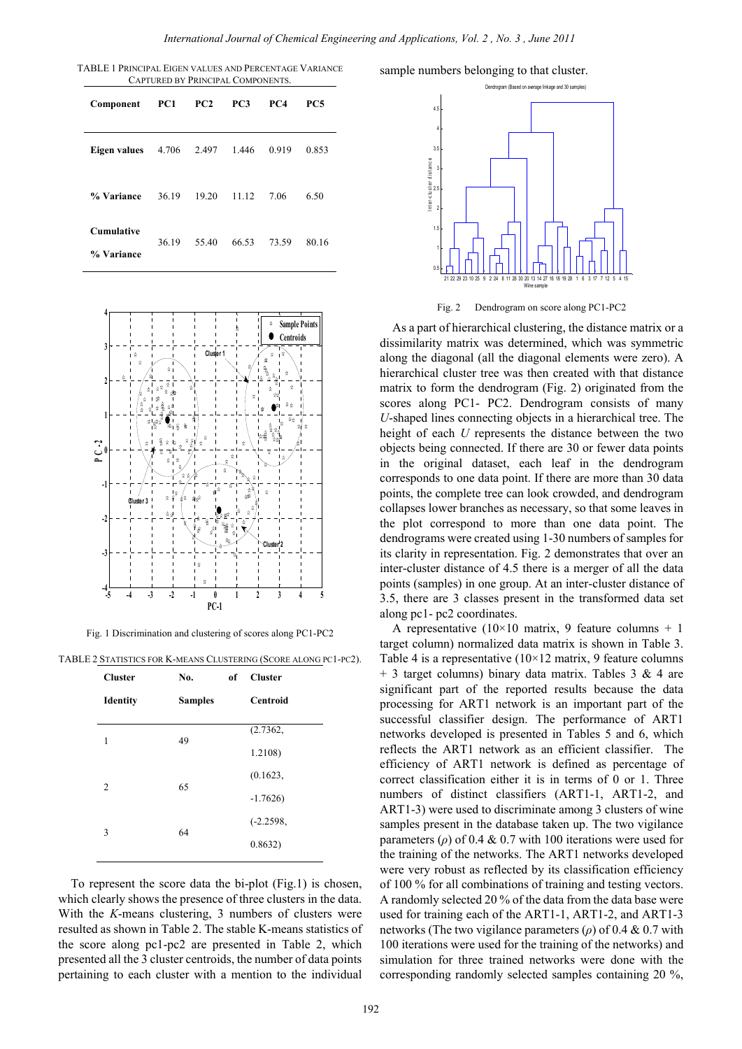*International Journal of Chemical Engineering and Applications, Vol. 2 , No. 3 , June 2011*

TABLE 1 PRINCIPAL EIGEN VALUES AND PERCENTAGE VARIANCE CAPTURED BY PRINCIPAL COMPONENTS.

| Component                       | PC1   | PC2   | PC <sub>3</sub> | PC4   | PC5   |
|---------------------------------|-------|-------|-----------------|-------|-------|
| Eigen values                    | 4.706 | 2.497 | 1.446           | 0.919 | 0.853 |
| % Variance                      | 36.19 | 19.20 | 11.12           | 7.06  | 6.50  |
| <b>Cumulative</b><br>% Variance | 36.19 | 55.40 | 66.53           | 73.59 | 80.16 |



Fig. 1 Discrimination and clustering of scores along PC1-PC2

TABLE 2 STATISTICS FOR K-MEANS CLUSTERING (SCORE ALONG PC1-PC2).

| <b>Cluster</b>  | No.            | <sub>of</sub> | <b>Cluster</b>  |
|-----------------|----------------|---------------|-----------------|
| <b>Identity</b> | <b>Samples</b> |               | <b>Centroid</b> |
|                 |                |               | (2.7362,        |
| 1               | 49             |               | 1.2108)         |
| $\overline{c}$  | 65             |               | (0.1623,        |
|                 |                |               | $-1.7626$       |
| 3               | 64             |               | $(-2.2598,$     |
|                 |                |               | 0.8632)         |

To represent the score data the bi-plot (Fig.1) is chosen, which clearly shows the presence of three clusters in the data. With the *K*-means clustering, 3 numbers of clusters were resulted as shown in Table 2. The stable K-means statistics of the score along pc1-pc2 are presented in Table 2, which presented all the 3 cluster centroids, the number of data points pertaining to each cluster with a mention to the individual sample numbers belonging to that cluster.



Fig. 2 Dendrogram on score along PC1-PC2

As a part of hierarchical clustering, the distance matrix or a dissimilarity matrix was determined, which was symmetric along the diagonal (all the diagonal elements were zero). A hierarchical cluster tree was then created with that distance matrix to form the dendrogram (Fig. 2) originated from the scores along PC1- PC2. Dendrogram consists of many *U*-shaped lines connecting objects in a hierarchical tree. The height of each *U* represents the distance between the two objects being connected. If there are 30 or fewer data points in the original dataset, each leaf in the dendrogram corresponds to one data point. If there are more than 30 data points, the complete tree can look crowded, and dendrogram collapses lower branches as necessary, so that some leaves in the plot correspond to more than one data point. The dendrograms were created using 1-30 numbers of samples for its clarity in representation. Fig. 2 demonstrates that over an inter-cluster distance of 4.5 there is a merger of all the data points (samples) in one group. At an inter-cluster distance of 3.5, there are 3 classes present in the transformed data set along pc1- pc2 coordinates.

A representative ( $10\times10$  matrix, 9 feature columns + 1 target column) normalized data matrix is shown in Table 3. Table 4 is a representative  $(10\times12 \text{ matrix}, 9 \text{ feature columns})$  $+$  3 target columns) binary data matrix. Tables 3 & 4 are significant part of the reported results because the data processing for ART1 network is an important part of the successful classifier design. The performance of ART1 networks developed is presented in Tables 5 and 6, which reflects the ART1 network as an efficient classifier. The efficiency of ART1 network is defined as percentage of correct classification either it is in terms of 0 or 1. Three numbers of distinct classifiers (ART1-1, ART1-2, and ART1-3) were used to discriminate among 3 clusters of wine samples present in the database taken up. The two vigilance parameters ( $\rho$ ) of 0.4 & 0.7 with 100 iterations were used for the training of the networks. The ART1 networks developed were very robust as reflected by its classification efficiency of 100 % for all combinations of training and testing vectors. A randomly selected 20 % of the data from the data base were used for training each of the ART1-1, ART1-2, and ART1-3 networks (The two vigilance parameters (*ρ*) of 0.4 & 0.7 with 100 iterations were used for the training of the networks) and simulation for three trained networks were done with the corresponding randomly selected samples containing 20 %,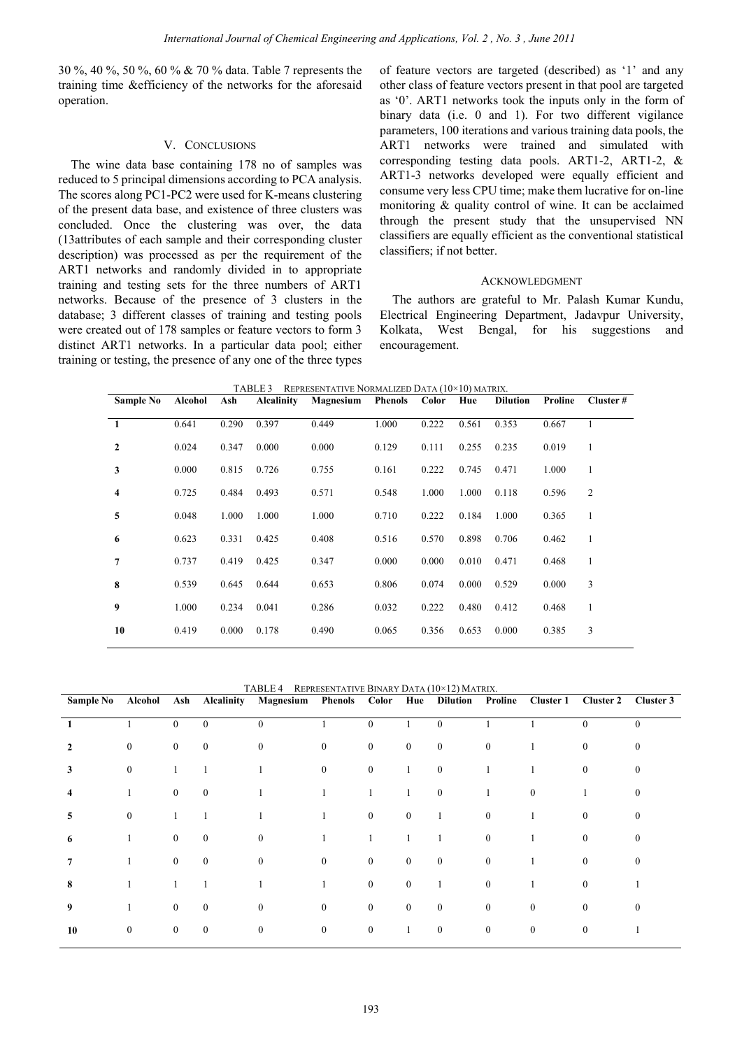30 %, 40 %, 50 %, 60 % & 70 % data. Table 7 represents the training time &efficiency of the networks for the aforesaid operation.

# V. CONCLUSIONS

The wine data base containing 178 no of samples was reduced to 5 principal dimensions according to PCA analysis. The scores along PC1-PC2 were used for K-means clustering of the present data base, and existence of three clusters was concluded. Once the clustering was over, the data (13attributes of each sample and their corresponding cluster description) was processed as per the requirement of the ART1 networks and randomly divided in to appropriate training and testing sets for the three numbers of ART1 networks. Because of the presence of 3 clusters in the database; 3 different classes of training and testing pools were created out of 178 samples or feature vectors to form 3 distinct ART1 networks. In a particular data pool; either training or testing, the presence of any one of the three types

of feature vectors are targeted (described) as '1' and any other class of feature vectors present in that pool are targeted as '0'. ART1 networks took the inputs only in the form of binary data (i.e. 0 and 1). For two different vigilance parameters, 100 iterations and various training data pools, the ART1 networks were trained and simulated with corresponding testing data pools. ART1-2, ART1-2, & ART1-3 networks developed were equally efficient and consume very less CPU time; make them lucrative for on-line monitoring & quality control of wine. It can be acclaimed through the present study that the unsupervised NN classifiers are equally efficient as the conventional statistical classifiers; if not better.

## ACKNOWLEDGMENT

The authors are grateful to Mr. Palash Kumar Kundu, Electrical Engineering Department, Jadavpur University, Kolkata, West Bengal, for his suggestions and encouragement.

**Sample No Alcohol Ash Alcalinity Magnesium Phenols Color Hue Dilution Proline Cluster # 1** 0.641 0.290 0.397 0.449 1.000 0.222 0.561 0.353 0.667 1 **2** 0.024 0.347 0.000 0.000 0.129 0.111 0.255 0.235 0.019 1 **3** 0.000 0.815 0.726 0.755 0.161 0.222 0.745 0.471 1.000 1 **4** 0.725 0.484 0.493 0.571 0.548 1.000 1.000 0.118 0.596 2 **5** 0.048 1.000 1.000 1.000 0.710 0.222 0.184 1.000 0.365 1 **6** 0.623 0.331 0.425 0.408 0.516 0.570 0.898 0.706 0.462 1 **7** 0.737 0.419 0.425 0.347 0.000 0.000 0.010 0.471 0.468 1 **8** 0.539 0.645 0.644 0.653 0.806 0.074 0.000 0.529 0.000 3 **9** 1.000 0.234 0.041 0.286 0.032 0.222 0.480 0.412 0.468 1 **10** 0.419 0.000 0.178 0.490 0.065 0.356 0.653 0.000 0.385 3

TABLE 3 REPRESENTATIVE NORMALIZED DATA (10×10) MATRIX.

TABLE 4 REPRESENTATIVE BINARY DATA (10×12) MATRIX.

| <b>Sample No</b> | Alcohol          | Ash            | Alcalinity       | Magnesium        | <b>Phenols</b> Color |                  | Hue          | Dilution         | Proline          | Cluster 1      | <b>Cluster 2</b> | Cluster 3    |
|------------------|------------------|----------------|------------------|------------------|----------------------|------------------|--------------|------------------|------------------|----------------|------------------|--------------|
| $\mathbf{1}$     |                  | $\overline{0}$ | $\mathbf{0}$     | $\mathbf{0}$     |                      | $\mathbf{0}$     |              | $\mathbf{0}$     |                  |                | $\mathbf{0}$     | $\theta$     |
| $\mathbf{2}$     | $\boldsymbol{0}$ | $\overline{0}$ | $\mathbf{0}$     | $\mathbf{0}$     | $\mathbf{0}$         | $\mathbf{0}$     | $\bf{0}$     | $\bf{0}$         | $\boldsymbol{0}$ |                | $\boldsymbol{0}$ | 0            |
| 3                | $\boldsymbol{0}$ |                |                  |                  | $\boldsymbol{0}$     | $\boldsymbol{0}$ | $\mathbf{1}$ | $\mathbf{0}$     |                  |                | $\bf{0}$         | $\mathbf{0}$ |
| 4                | 1                | $\overline{0}$ | $\mathbf{0}$     |                  |                      | $\mathbf{1}$     | 1            | $\mathbf{0}$     | 1                | $\mathbf{0}$   |                  | 0            |
| 5                | $\boldsymbol{0}$ |                |                  |                  | $\mathbf{1}$         | $\mathbf{0}$     | $\mathbf{0}$ | $\mathbf{1}$     | $\mathbf{0}$     | 1              | $\mathbf{0}$     | $\Omega$     |
| 6                |                  | $\overline{0}$ | $\mathbf{0}$     | $\mathbf{0}$     |                      | $\mathbf{1}$     |              |                  | $\boldsymbol{0}$ |                | $\bf{0}$         | 0            |
| 7                | 1                | $\overline{0}$ | $\mathbf{0}$     | $\mathbf{0}$     | $\boldsymbol{0}$     | $\mathbf{0}$     | $\mathbf{0}$ | $\mathbf{0}$     | $\boldsymbol{0}$ |                | $\boldsymbol{0}$ | $\mathbf{0}$ |
| 8                |                  |                |                  |                  |                      | $\mathbf{0}$     | $\mathbf{0}$ |                  | $\boldsymbol{0}$ |                | $\mathbf{0}$     |              |
| 9                |                  | $\overline{0}$ | $\mathbf{0}$     | $\mathbf{0}$     | $\boldsymbol{0}$     | $\mathbf{0}$     | $\mathbf{0}$ | $\mathbf{0}$     | $\mathbf{0}$     | $\overline{0}$ | $\boldsymbol{0}$ | $\theta$     |
| 10               | $\boldsymbol{0}$ | $\overline{0}$ | $\boldsymbol{0}$ | $\boldsymbol{0}$ | $\boldsymbol{0}$     | $\bf{0}$         |              | $\boldsymbol{0}$ | $\boldsymbol{0}$ | $\mathbf{0}$   | $\boldsymbol{0}$ |              |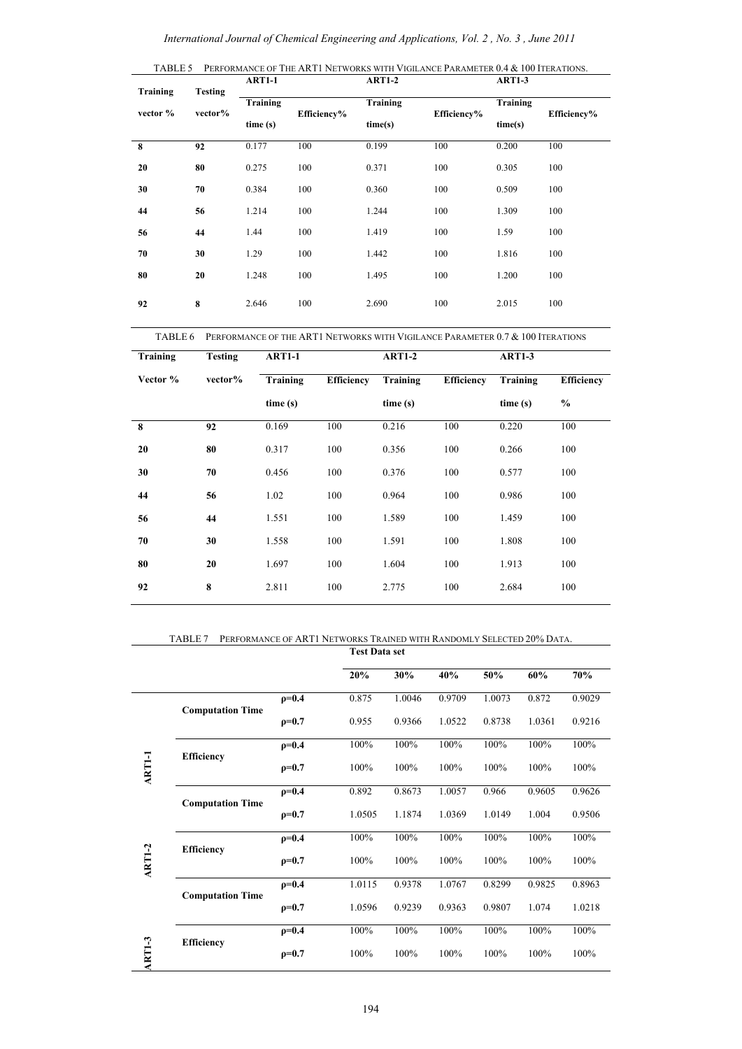| Training | <b>Testing</b> | <b>ART1-1</b>       |             | <b>ART1-2</b>       |             | <b>ART1-3</b>       |             |  |
|----------|----------------|---------------------|-------------|---------------------|-------------|---------------------|-------------|--|
| vector % | vector%        | Training<br>time(s) | Efficiency% | Training<br>time(s) | Efficiency% | Training<br>time(s) | Efficiency% |  |
| 8        | 92             | 0.177               | 100         | 0.199               | 100         | 0.200               | 100         |  |
| 20       | 80             | 0.275               | 100         | 0.371               | 100         | 0.305               | 100         |  |
| 30       | 70             | 0.384               | 100         | 0.360               | 100         | 0.509               | 100         |  |
| 44       | 56             | 1.214               | 100         | 1.244               | 100         | 1.309               | 100         |  |
| 56       | 44             | 1.44                | 100         | 1.419               | 100         | 1.59                | 100         |  |
| 70       | 30             | 1.29                | 100         | 1.442               | 100         | 1.816               | 100         |  |
| 80       | 20             | 1.248               | 100         | 1.495               | 100         | 1.200               | 100         |  |
| 92       | 8              | 2.646               | 100         | 2.690               | 100         | 2.015               | 100         |  |

TABLE 6 PERFORMANCE OF THE ART1 NETWORKS WITH VIGILANCE PARAMETER 0.7 & 100 ITERATIONS

| Training | <b>Testing</b> | <b>ART1-1</b>   |                   | <b>ART1-2</b> |                   | <b>ART1-3</b> |                   |  |
|----------|----------------|-----------------|-------------------|---------------|-------------------|---------------|-------------------|--|
| Vector % | vector%        | <b>Training</b> | <b>Efficiency</b> | Training      | <b>Efficiency</b> | Training      | <b>Efficiency</b> |  |
|          |                | time(s)         |                   | time (s)      |                   | time(s)       | $\%$              |  |
| 8        | 92             | 0.169           | 100               | 0.216         | 100               | 0.220         | 100               |  |
| 20       | 80             | 0.317           | 100               | 0.356         | 100               | 0.266         | 100               |  |
| 30       | 70             | 0.456           | 100               | 0.376         | 100               | 0.577         | 100               |  |
| 44       | 56             | 1.02            | 100               | 0.964         | 100               | 0.986         | 100               |  |
| 56       | 44             | 1.551           | 100               | 1.589         | 100               | 1.459         | 100               |  |
| 70       | 30             | 1.558           | 100               | 1.591         | 100               | 1.808         | 100               |  |
| 80       | 20             | 1.697           | 100               | 1.604         | 100               | 1.913         | 100               |  |
| 92       | 8              | 2.811           | 100               | 2.775         | 100               | 2.684         | 100               |  |

TABLE 7 PERFORMANCE OF ART1 NETWORKS TRAINED WITH RANDOMLY SELECTED 20% DATA.

|               |                         |              | <b>Test Data set</b> |        |        |        |                                                            |        |
|---------------|-------------------------|--------------|----------------------|--------|--------|--------|------------------------------------------------------------|--------|
|               |                         |              | 20%                  | 30%    | 40%    | 50%    | 60%                                                        | 70%    |
|               | <b>Computation Time</b> | $p=0.4$      | 0.875                | 1.0046 | 0.9709 | 1.0073 | 0.872                                                      | 0.9029 |
|               |                         | $\rho = 0.7$ | 0.955                | 0.9366 | 1.0522 | 0.8738 | 1.0361                                                     | 0.9216 |
|               | <b>Efficiency</b>       | $\rho = 0.4$ | 100%                 | 100%   | 100%   | 100%   | 100%                                                       | 100%   |
| <b>ARTI-1</b> |                         | $\rho = 0.7$ | 100%                 | 100%   | 100%   | 100%   | 100%<br>0.9605<br>1.004<br>100%<br>100%<br>0.9825<br>1.074 | 100%   |
|               | <b>Computation Time</b> | $\rho = 0.4$ | 0.892                | 0.8673 | 1.0057 | 0.966  |                                                            | 0.9626 |
|               |                         | $p=0.7$      | 1.0505               | 1.1874 | 1.0369 | 1.0149 |                                                            | 0.9506 |
|               | <b>Efficiency</b>       | $\rho = 0.4$ | 100%                 | 100%   | 100%   | 100%   |                                                            | 100%   |
| <b>ART1-2</b> |                         | $\rho = 0.7$ | 100%                 | 100%   | 100%   | 100%   |                                                            | 100%   |
|               | <b>Computation Time</b> | $p=0.4$      | 1.0115               | 0.9378 | 1.0767 | 0.8299 |                                                            | 0.8963 |
|               |                         | $\rho = 0.7$ | 1.0596               | 0.9239 | 0.9363 | 0.9807 |                                                            | 1.0218 |
|               | <b>Efficiency</b>       | $\rho = 0.4$ | 100%                 | 100%   | 100%   | 100%   | 100%                                                       | 100%   |
| $ART1-3$      |                         | $p=0.7$      | 100%                 | 100%   | 100%   | 100%   | 100%                                                       | 100%   |